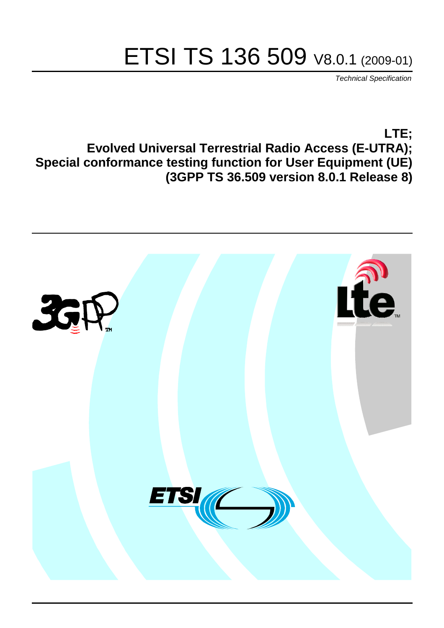# ETSI TS 136 509 V8.0.1 (2009-01)

*Technical Specification*

**LTE; Evolved Universal Terrestrial Radio Access (E-UTRA); Special conformance testing function for User Equipment (UE) (3GPP TS 36.509 version 8.0.1 Release 8)**

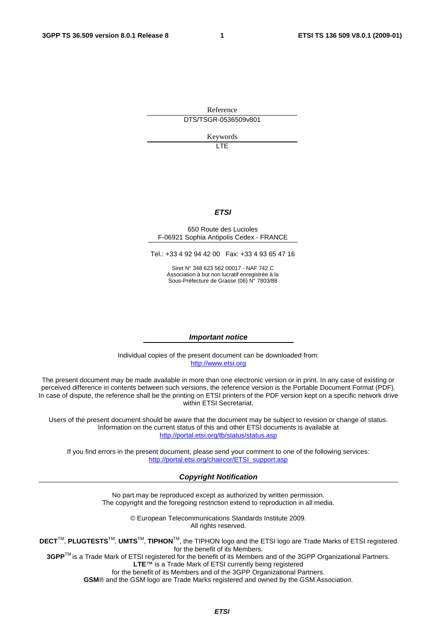Reference DTS/TSGR-0536509v801

Keywords

 $\overline{1}$ 

#### *ETSI*

#### 650 Route des Lucioles F-06921 Sophia Antipolis Cedex - FRANCE

Tel.: +33 4 92 94 42 00 Fax: +33 4 93 65 47 16

Siret N° 348 623 562 00017 - NAF 742 C Association à but non lucratif enregistrée à la Sous-Préfecture de Grasse (06) N° 7803/88

#### *Important notice*

Individual copies of the present document can be downloaded from: [http://www.etsi.org](http://www.etsi.org/)

The present document may be made available in more than one electronic version or in print. In any case of existing or perceived difference in contents between such versions, the reference version is the Portable Document Format (PDF). In case of dispute, the reference shall be the printing on ETSI printers of the PDF version kept on a specific network drive within ETSI Secretariat.

Users of the present document should be aware that the document may be subject to revision or change of status. Information on the current status of this and other ETSI documents is available at <http://portal.etsi.org/tb/status/status.asp>

If you find errors in the present document, please send your comment to one of the following services: [http://portal.etsi.org/chaircor/ETSI\\_support.asp](http://portal.etsi.org/chaircor/ETSI_support.asp)

#### *Copyright Notification*

No part may be reproduced except as authorized by written permission. The copyright and the foregoing restriction extend to reproduction in all media.

> © European Telecommunications Standards Institute 2009. All rights reserved.

**DECT**TM, **PLUGTESTS**TM, **UMTS**TM, **TIPHON**TM, the TIPHON logo and the ETSI logo are Trade Marks of ETSI registered for the benefit of its Members.

**3GPP**TM is a Trade Mark of ETSI registered for the benefit of its Members and of the 3GPP Organizational Partners. **LTE**™ is a Trade Mark of ETSI currently being registered

for the benefit of its Members and of the 3GPP Organizational Partners.

**GSM**® and the GSM logo are Trade Marks registered and owned by the GSM Association.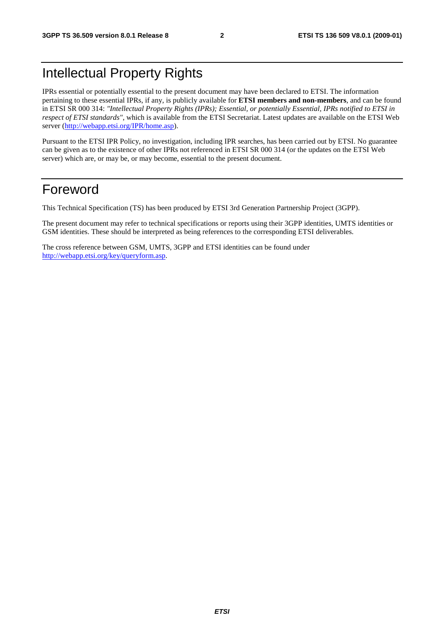### Intellectual Property Rights

IPRs essential or potentially essential to the present document may have been declared to ETSI. The information pertaining to these essential IPRs, if any, is publicly available for **ETSI members and non-members**, and can be found in ETSI SR 000 314: *"Intellectual Property Rights (IPRs); Essential, or potentially Essential, IPRs notified to ETSI in respect of ETSI standards"*, which is available from the ETSI Secretariat. Latest updates are available on the ETSI Web server ([http://webapp.etsi.org/IPR/home.asp\)](http://webapp.etsi.org/IPR/home.asp).

Pursuant to the ETSI IPR Policy, no investigation, including IPR searches, has been carried out by ETSI. No guarantee can be given as to the existence of other IPRs not referenced in ETSI SR 000 314 (or the updates on the ETSI Web server) which are, or may be, or may become, essential to the present document.

### Foreword

This Technical Specification (TS) has been produced by ETSI 3rd Generation Partnership Project (3GPP).

The present document may refer to technical specifications or reports using their 3GPP identities, UMTS identities or GSM identities. These should be interpreted as being references to the corresponding ETSI deliverables.

The cross reference between GSM, UMTS, 3GPP and ETSI identities can be found under [http://webapp.etsi.org/key/queryform.asp.](http://webapp.etsi.org/key/queryform.asp)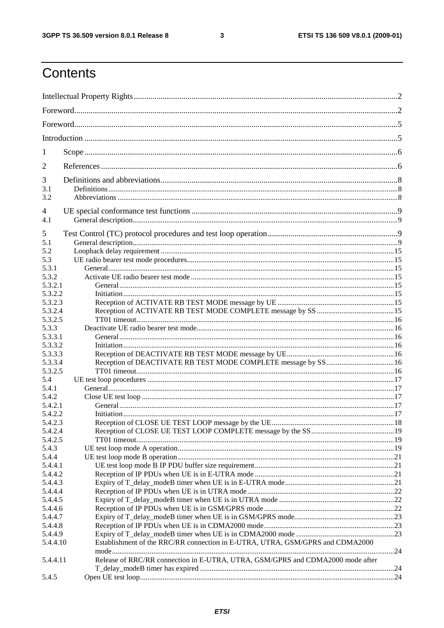$\mathbf{3}$ 

### Contents

| 1                  |                                                                                |  |
|--------------------|--------------------------------------------------------------------------------|--|
| 2                  |                                                                                |  |
| 3                  |                                                                                |  |
| 3.1                |                                                                                |  |
| 3.2                |                                                                                |  |
| 4<br>4.1           |                                                                                |  |
|                    |                                                                                |  |
| 5<br>5.1           |                                                                                |  |
| 5.2                |                                                                                |  |
| 5.3                |                                                                                |  |
| 5.3.1              |                                                                                |  |
| 5.3.2              |                                                                                |  |
| 5.3.2.1            |                                                                                |  |
| 5.3.2.2            |                                                                                |  |
| 5.3.2.3            |                                                                                |  |
| 5.3.2.4            |                                                                                |  |
| 5.3.2.5            |                                                                                |  |
| 5.3.3              |                                                                                |  |
| 5.3.3.1            |                                                                                |  |
| 5.3.3.2            |                                                                                |  |
| 5.3.3.3            |                                                                                |  |
| 5.3.3.4            |                                                                                |  |
| 5.3.2.5            |                                                                                |  |
| 5.4                |                                                                                |  |
| 5.4.1              |                                                                                |  |
| 5.4.2              |                                                                                |  |
| 5.4.2.1            |                                                                                |  |
| 5.4.2.2            |                                                                                |  |
| 5.4.2.3            |                                                                                |  |
| 5.4.2.4            |                                                                                |  |
| 5.4.2.5            |                                                                                |  |
| 5.4.3              |                                                                                |  |
| 5.4.4              |                                                                                |  |
| 5.4.4.1            |                                                                                |  |
| 5.4.4.2            |                                                                                |  |
| 5.4.4.3            |                                                                                |  |
| 5.4.4.4            |                                                                                |  |
| 5.4.4.5            |                                                                                |  |
| 5.4.4.6<br>5.4.4.7 |                                                                                |  |
| 5.4.4.8            |                                                                                |  |
| 5.4.4.9            |                                                                                |  |
| 5.4.4.10           | Establishment of the RRC/RR connection in E-UTRA, UTRA, GSM/GPRS and CDMA2000  |  |
|                    |                                                                                |  |
| 5.4.4.11           | Release of RRC/RR connection in E-UTRA, UTRA, GSM/GPRS and CDMA2000 mode after |  |
| 5.4.5              |                                                                                |  |
|                    |                                                                                |  |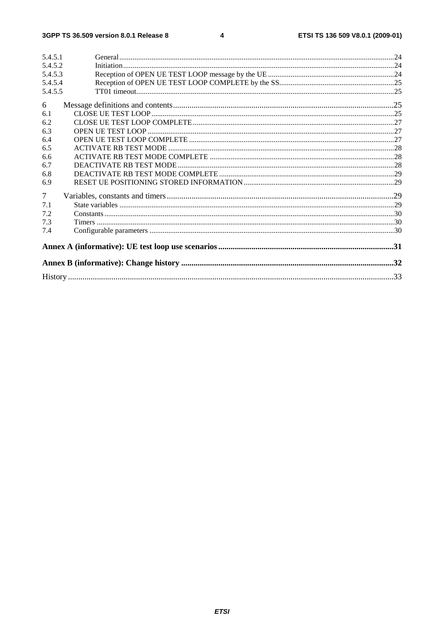| 5.4.5.1 |  |
|---------|--|
| 5.4.5.2 |  |
| 5.4.5.3 |  |
| 5.4.5.4 |  |
| 5.4.5.5 |  |
| 6       |  |
| 6.1     |  |
| 6.2     |  |
| 6.3     |  |
| 6.4     |  |
| 6.5     |  |
| 6.6     |  |
| 6.7     |  |
| 6.8     |  |
| 6.9     |  |
| $\tau$  |  |
| 7.1     |  |
| 7.2     |  |
| 7.3     |  |
| 7.4     |  |
|         |  |
|         |  |
|         |  |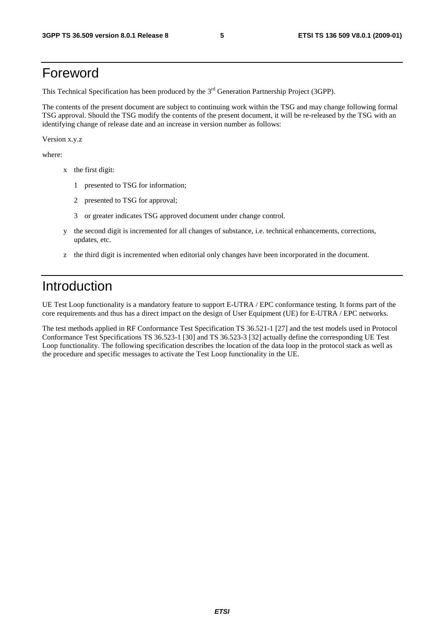### Foreword

This Technical Specification has been produced by the 3<sup>rd</sup> Generation Partnership Project (3GPP).

The contents of the present document are subject to continuing work within the TSG and may change following formal TSG approval. Should the TSG modify the contents of the present document, it will be re-released by the TSG with an identifying change of release date and an increase in version number as follows:

Version x.y.z

where:

- x the first digit:
	- 1 presented to TSG for information;
	- 2 presented to TSG for approval;
	- 3 or greater indicates TSG approved document under change control.
- y the second digit is incremented for all changes of substance, i.e. technical enhancements, corrections, updates, etc.
- z the third digit is incremented when editorial only changes have been incorporated in the document.

### Introduction

UE Test Loop functionality is a mandatory feature to support E-UTRA / EPC conformance testing. It forms part of the core requirements and thus has a direct impact on the design of User Equipment (UE) for E-UTRA / EPC networks.

The test methods applied in RF Conformance Test Specification TS 36.521-1 [27] and the test models used in Protocol Conformance Test Specifications TS 36.523-1 [30] and TS 36.523-3 [32] actually define the corresponding UE Test Loop functionality. The following specification describes the location of the data loop in the protocol stack as well as the procedure and specific messages to activate the Test Loop functionality in the UE.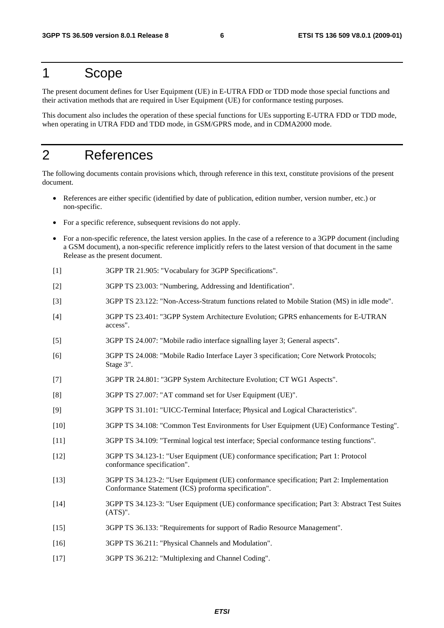### 1 Scope

The present document defines for User Equipment (UE) in E-UTRA FDD or TDD mode those special functions and their activation methods that are required in User Equipment (UE) for conformance testing purposes.

This document also includes the operation of these special functions for UEs supporting E-UTRA FDD or TDD mode, when operating in UTRA FDD and TDD mode, in GSM/GPRS mode, and in CDMA2000 mode.

### 2 References

The following documents contain provisions which, through reference in this text, constitute provisions of the present document.

- References are either specific (identified by date of publication, edition number, version number, etc.) or non-specific.
- For a specific reference, subsequent revisions do not apply.
- For a non-specific reference, the latest version applies. In the case of a reference to a 3GPP document (including a GSM document), a non-specific reference implicitly refers to the latest version of that document in the same Release as the present document.
- [1] 3GPP TR 21.905: "Vocabulary for 3GPP Specifications".
- [2] 3GPP TS 23.003: "Numbering, Addressing and Identification".
- [3] 3GPP TS 23.122: "Non-Access-Stratum functions related to Mobile Station (MS) in idle mode".
- [4] 3GPP TS 23.401: "3GPP System Architecture Evolution; GPRS enhancements for E-UTRAN access".
- [5] 3GPP TS 24.007: "Mobile radio interface signalling layer 3; General aspects".
- [6] 3GPP TS 24.008: "Mobile Radio Interface Layer 3 specification; Core Network Protocols; Stage 3".
- [7] 3GPP TR 24.801: "3GPP System Architecture Evolution; CT WG1 Aspects".
- [8] 3GPP TS 27.007: "AT command set for User Equipment (UE)".
- [9] 3GPP TS 31.101: "UICC-Terminal Interface; Physical and Logical Characteristics".
- [10] 3GPP TS 34.108: "Common Test Environments for User Equipment (UE) Conformance Testing".
- [11] 3GPP TS 34.109: "Terminal logical test interface; Special conformance testing functions".
- [12] 3GPP TS 34.123-1: "User Equipment (UE) conformance specification; Part 1: Protocol conformance specification".
- [13] 3GPP TS 34.123-2: "User Equipment (UE) conformance specification; Part 2: Implementation Conformance Statement (ICS) proforma specification".
- [14] 3GPP TS 34.123-3: "User Equipment (UE) conformance specification; Part 3: Abstract Test Suites (ATS)".
- [15] 3GPP TS 36.133: "Requirements for support of Radio Resource Management".
- [16] 3GPP TS 36.211: "Physical Channels and Modulation".
- [17] 3GPP TS 36.212: "Multiplexing and Channel Coding".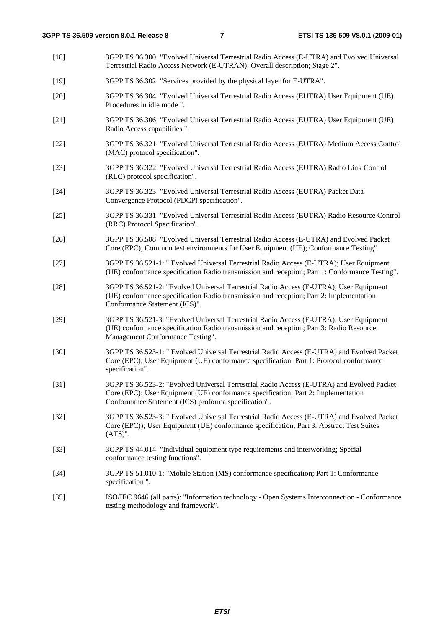[18] 3GPP TS 36.300: "Evolved Universal Terrestrial Radio Access (E-UTRA) and Evolved Universal Terrestrial Radio Access Network (E-UTRAN); Overall description; Stage 2". [19] 3GPP TS 36.302: "Services provided by the physical layer for E-UTRA". [20] 3GPP TS 36.304: "Evolved Universal Terrestrial Radio Access (EUTRA) User Equipment (UE) Procedures in idle mode ". [21] 3GPP TS 36.306: "Evolved Universal Terrestrial Radio Access (EUTRA) User Equipment (UE) Radio Access capabilities ". [22] 3GPP TS 36.321: "Evolved Universal Terrestrial Radio Access (EUTRA) Medium Access Control (MAC) protocol specification". [23] 3GPP TS 36.322: "Evolved Universal Terrestrial Radio Access (EUTRA) Radio Link Control (RLC) protocol specification". [24] 3GPP TS 36.323: "Evolved Universal Terrestrial Radio Access (EUTRA) Packet Data Convergence Protocol (PDCP) specification". [25] 3GPP TS 36.331: "Evolved Universal Terrestrial Radio Access (EUTRA) Radio Resource Control (RRC) Protocol Specification". [26] 3GPP TS 36.508: "Evolved Universal Terrestrial Radio Access (E-UTRA) and Evolved Packet Core (EPC); Common test environments for User Equipment (UE); Conformance Testing". [27] 3GPP TS 36.521-1: " Evolved Universal Terrestrial Radio Access (E-UTRA); User Equipment (UE) conformance specification Radio transmission and reception; Part 1: Conformance Testing". [28] 3GPP TS 36.521-2: "Evolved Universal Terrestrial Radio Access (E-UTRA); User Equipment (UE) conformance specification Radio transmission and reception; Part 2: Implementation Conformance Statement (ICS)". [29] 3GPP TS 36.521-3: "Evolved Universal Terrestrial Radio Access (E-UTRA); User Equipment (UE) conformance specification Radio transmission and reception; Part 3: Radio Resource Management Conformance Testing". [30] 3GPP TS 36.523-1: " Evolved Universal Terrestrial Radio Access (E-UTRA) and Evolved Packet Core (EPC); User Equipment (UE) conformance specification; Part 1: Protocol conformance specification". [31] 3GPP TS 36.523-2: "Evolved Universal Terrestrial Radio Access (E-UTRA) and Evolved Packet Core (EPC); User Equipment (UE) conformance specification; Part 2: Implementation Conformance Statement (ICS) proforma specification". [32] 3GPP TS 36.523-3: " Evolved Universal Terrestrial Radio Access (E-UTRA) and Evolved Packet Core (EPC)); User Equipment (UE) conformance specification; Part 3: Abstract Test Suites (ATS)". [33] 3GPP TS 44.014: "Individual equipment type requirements and interworking; Special conformance testing functions". [34] 3GPP TS 51.010-1: "Mobile Station (MS) conformance specification; Part 1: Conformance specification ". [35] ISO/IEC 9646 (all parts): "Information technology - Open Systems Interconnection - Conformance testing methodology and framework".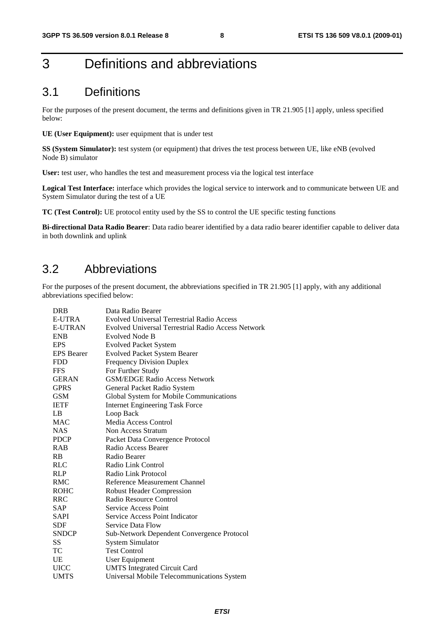### 3 Definitions and abbreviations

### 3.1 Definitions

For the purposes of the present document, the terms and definitions given in TR 21.905 [1] apply, unless specified below:

**UE (User Equipment):** user equipment that is under test

**SS (System Simulator):** test system (or equipment) that drives the test process between UE, like eNB (evolved Node B) simulator

User: test user, who handles the test and measurement process via the logical test interface

**Logical Test Interface:** interface which provides the logical service to interwork and to communicate between UE and System Simulator during the test of a UE

**TC (Test Control):** UE protocol entity used by the SS to control the UE specific testing functions

**Bi-directional Data Radio Bearer**: Data radio bearer identified by a data radio bearer identifier capable to deliver data in both downlink and uplink

### 3.2 Abbreviations

For the purposes of the present document, the abbreviations specified in TR 21.905 [1] apply, with any additional abbreviations specified below:

| <b>DRB</b>        | Data Radio Bearer                                  |
|-------------------|----------------------------------------------------|
| <b>E-UTRA</b>     | <b>Evolved Universal Terrestrial Radio Access</b>  |
| E-UTRAN           | Evolved Universal Terrestrial Radio Access Network |
| <b>ENB</b>        | Evolved Node B                                     |
| <b>EPS</b>        | <b>Evolved Packet System</b>                       |
| <b>EPS</b> Bearer | <b>Evolved Packet System Bearer</b>                |
| <b>FDD</b>        | <b>Frequency Division Duplex</b>                   |
| <b>FFS</b>        | For Further Study                                  |
| <b>GERAN</b>      | <b>GSM/EDGE Radio Access Network</b>               |
| <b>GPRS</b>       | General Packet Radio System                        |
| <b>GSM</b>        | Global System for Mobile Communications            |
| <b>IETF</b>       | <b>Internet Engineering Task Force</b>             |
| LB                | Loop Back                                          |
| <b>MAC</b>        | Media Access Control                               |
| <b>NAS</b>        | Non Access Stratum                                 |
| <b>PDCP</b>       | Packet Data Convergence Protocol                   |
| <b>RAB</b>        | Radio Access Bearer                                |
| RB                | Radio Bearer                                       |
| <b>RLC</b>        | Radio Link Control                                 |
| <b>RLP</b>        | Radio Link Protocol                                |
| <b>RMC</b>        | Reference Measurement Channel                      |
| <b>ROHC</b>       | <b>Robust Header Compression</b>                   |
| <b>RRC</b>        | Radio Resource Control                             |
| SAP               | Service Access Point                               |
| SAPI              | Service Access Point Indicator                     |
| SDF               | Service Data Flow                                  |
| <b>SNDCP</b>      | Sub-Network Dependent Convergence Protocol         |
| SS                | <b>System Simulator</b>                            |
| TC                | <b>Test Control</b>                                |
| UE                | User Equipment                                     |
| <b>UICC</b>       | <b>UMTS</b> Integrated Circuit Card                |
| <b>UMTS</b>       | Universal Mobile Telecommunications System         |
|                   |                                                    |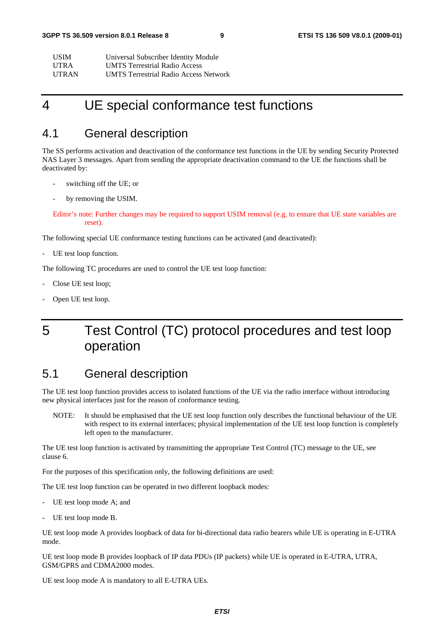| USIM-        | Universal Subscriber Identity Module         |
|--------------|----------------------------------------------|
| <b>UTRA</b>  | <b>UMTS</b> Terrestrial Radio Access         |
| <b>UTRAN</b> | <b>UMTS Terrestrial Radio Access Network</b> |

### 4 UE special conformance test functions

### 4.1 General description

The SS performs activation and deactivation of the conformance test functions in the UE by sending Security Protected NAS Layer 3 messages. Apart from sending the appropriate deactivation command to the UE the functions shall be deactivated by:

- switching off the UE; or
- by removing the USIM.

#### Editor's note: Further changes may be required to support USIM removal (e.g. to ensure that UE state variables are reset).

The following special UE conformance testing functions can be activated (and deactivated):

- UE test loop function.

The following TC procedures are used to control the UE test loop function:

- Close UE test loop;
- Open UE test loop.

### 5 Test Control (TC) protocol procedures and test loop operation

### 5.1 General description

The UE test loop function provides access to isolated functions of the UE via the radio interface without introducing new physical interfaces just for the reason of conformance testing.

NOTE: It should be emphasised that the UE test loop function only describes the functional behaviour of the UE with respect to its external interfaces; physical implementation of the UE test loop function is completely left open to the manufacturer.

The UE test loop function is activated by transmitting the appropriate Test Control (TC) message to the UE, see clause 6.

For the purposes of this specification only, the following definitions are used:

The UE test loop function can be operated in two different loopback modes:

- UE test loop mode A; and
- UE test loop mode B.

UE test loop mode A provides loopback of data for bi-directional data radio bearers while UE is operating in E-UTRA mode.

UE test loop mode B provides loopback of IP data PDUs (IP packets) while UE is operated in E-UTRA, UTRA, GSM/GPRS and CDMA2000 modes.

UE test loop mode A is mandatory to all E-UTRA UEs.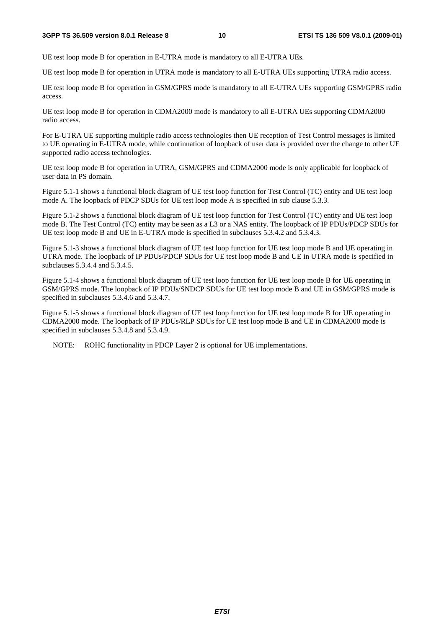UE test loop mode B for operation in E-UTRA mode is mandatory to all E-UTRA UEs.

UE test loop mode B for operation in UTRA mode is mandatory to all E-UTRA UEs supporting UTRA radio access.

UE test loop mode B for operation in GSM/GPRS mode is mandatory to all E-UTRA UEs supporting GSM/GPRS radio access.

UE test loop mode B for operation in CDMA2000 mode is mandatory to all E-UTRA UEs supporting CDMA2000 radio access.

For E-UTRA UE supporting multiple radio access technologies then UE reception of Test Control messages is limited to UE operating in E-UTRA mode, while continuation of loopback of user data is provided over the change to other UE supported radio access technologies.

UE test loop mode B for operation in UTRA, GSM/GPRS and CDMA2000 mode is only applicable for loopback of user data in PS domain.

Figure 5.1-1 shows a functional block diagram of UE test loop function for Test Control (TC) entity and UE test loop mode A. The loopback of PDCP SDUs for UE test loop mode A is specified in sub clause 5.3.3.

Figure 5.1-2 shows a functional block diagram of UE test loop function for Test Control (TC) entity and UE test loop mode B. The Test Control (TC) entity may be seen as a L3 or a NAS entity. The loopback of IP PDUs/PDCP SDUs for UE test loop mode B and UE in E-UTRA mode is specified in subclauses 5.3.4.2 and 5.3.4.3.

Figure 5.1-3 shows a functional block diagram of UE test loop function for UE test loop mode B and UE operating in UTRA mode. The loopback of IP PDUs/PDCP SDUs for UE test loop mode B and UE in UTRA mode is specified in subclauses 5.3.4.4 and 5.3.4.5.

Figure 5.1-4 shows a functional block diagram of UE test loop function for UE test loop mode B for UE operating in GSM/GPRS mode. The loopback of IP PDUs/SNDCP SDUs for UE test loop mode B and UE in GSM/GPRS mode is specified in subclauses 5.3.4.6 and 5.3.4.7.

Figure 5.1-5 shows a functional block diagram of UE test loop function for UE test loop mode B for UE operating in CDMA2000 mode. The loopback of IP PDUs/RLP SDUs for UE test loop mode B and UE in CDMA2000 mode is specified in subclauses 5.3.4.8 and 5.3.4.9.

NOTE: ROHC functionality in PDCP Layer 2 is optional for UE implementations.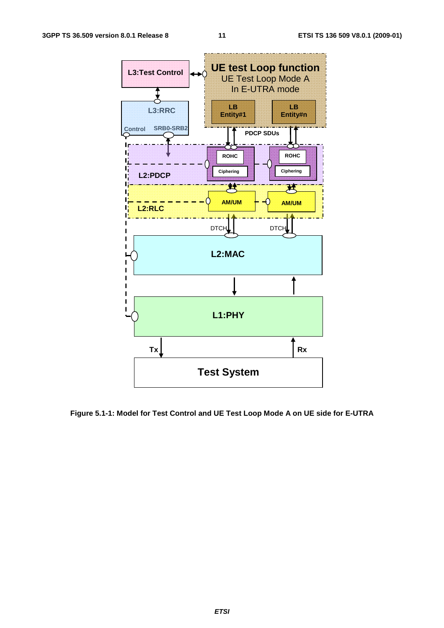

**Figure 5.1-1: Model for Test Control and UE Test Loop Mode A on UE side for E-UTRA**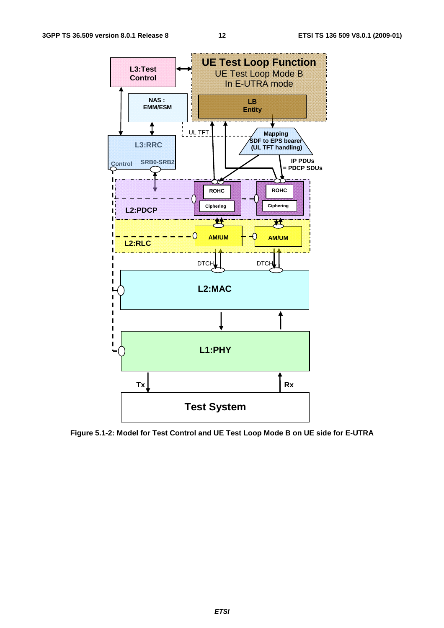

**Figure 5.1-2: Model for Test Control and UE Test Loop Mode B on UE side for E-UTRA**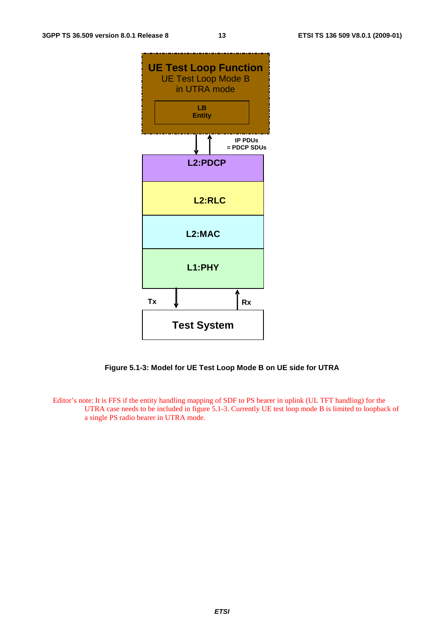

**Figure 5.1-3: Model for UE Test Loop Mode B on UE side for UTRA** 

Editor's note: It is FFS if the entity handling mapping of SDF to PS bearer in uplink (UL TFT handling) for the UTRA case needs to be included in figure 5.1-3. Currently UE test loop mode B is limited to loopback of a single PS radio bearer in UTRA mode.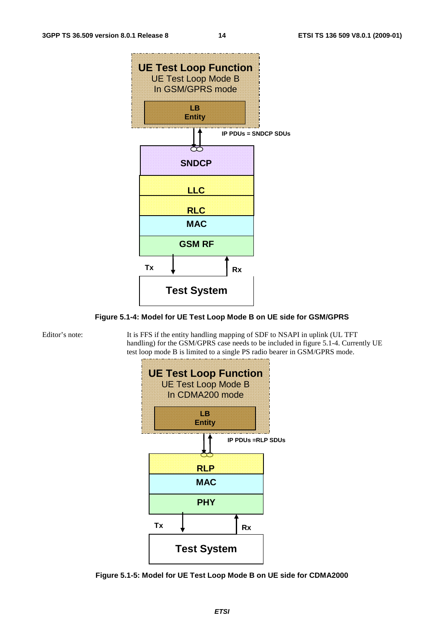

**Figure 5.1-4: Model for UE Test Loop Mode B on UE side for GSM/GPRS** 

Editor's note: It is FFS if the entity handling mapping of SDF to NSAPI in uplink (UL TFT handling) for the GSM/GPRS case needs to be included in figure 5.1-4. Currently UE test loop mode B is limited to a single PS radio bearer in GSM/GPRS mode.



**Figure 5.1-5: Model for UE Test Loop Mode B on UE side for CDMA2000**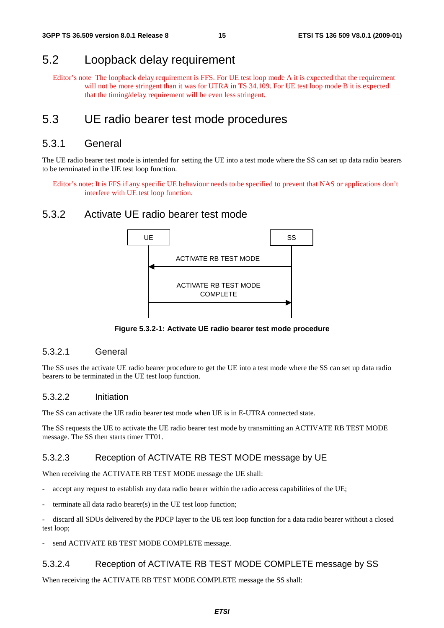### 5.2 Loopback delay requirement

Editor's note The loopback delay requirement is FFS. For UE test loop mode A it is expected that the requirement will not be more stringent than it was for UTRA in TS 34.109. For UE test loop mode B it is expected that the timing/delay requirement will be even less stringent.

### 5.3 UE radio bearer test mode procedures

#### 5.3.1 General

The UE radio bearer test mode is intended for setting the UE into a test mode where the SS can set up data radio bearers to be terminated in the UE test loop function.

Editor's note: It is FFS if any specific UE behaviour needs to be specified to prevent that NAS or applications don't interfere with UE test loop function.

#### 5.3.2 Activate UE radio bearer test mode



**Figure 5.3.2-1: Activate UE radio bearer test mode procedure** 

#### 5.3.2.1 General

The SS uses the activate UE radio bearer procedure to get the UE into a test mode where the SS can set up data radio bearers to be terminated in the UE test loop function.

#### 5.3.2.2 Initiation

The SS can activate the UE radio bearer test mode when UE is in E-UTRA connected state.

The SS requests the UE to activate the UE radio bearer test mode by transmitting an ACTIVATE RB TEST MODE message. The SS then starts timer TT01.

#### 5.3.2.3 Reception of ACTIVATE RB TEST MODE message by UE

When receiving the ACTIVATE RB TEST MODE message the UE shall:

- accept any request to establish any data radio bearer within the radio access capabilities of the UE;
- $t$ erminate all data radio bearer(s) in the UE test loop function;

- discard all SDUs delivered by the PDCP layer to the UE test loop function for a data radio bearer without a closed test loop;

send ACTIVATE RB TEST MODE COMPLETE message.

#### 5.3.2.4 Reception of ACTIVATE RB TEST MODE COMPLETE message by SS

When receiving the ACTIVATE RB TEST MODE COMPLETE message the SS shall: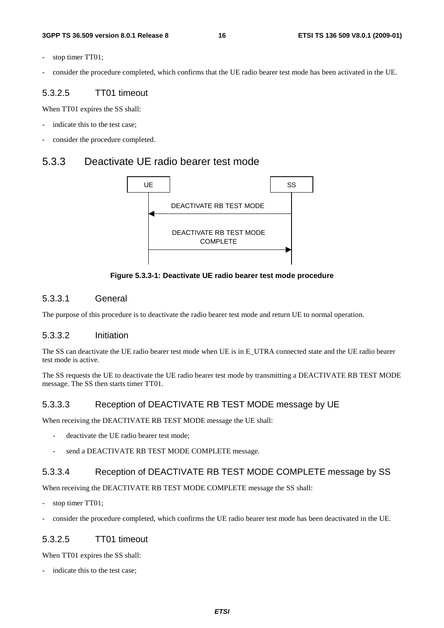- stop timer TT01;
- consider the procedure completed, which confirms that the UE radio bearer test mode has been activated in the UE.

#### 5.3.2.5 TT01 timeout

When TT01 expires the SS shall:

- indicate this to the test case;
- consider the procedure completed.

#### 5.3.3 Deactivate UE radio bearer test mode



**Figure 5.3.3-1: Deactivate UE radio bearer test mode procedure** 

#### 5.3.3.1 General

The purpose of this procedure is to deactivate the radio bearer test mode and return UE to normal operation.

#### 5.3.3.2 Initiation

The SS can deactivate the UE radio bearer test mode when UE is in E\_UTRA connected state and the UE radio bearer test mode is active.

The SS requests the UE to deactivate the UE radio bearer test mode by transmitting a DEACTIVATE RB TEST MODE message. The SS then starts timer TT01.

#### 5.3.3.3 Reception of DEACTIVATE RB TEST MODE message by UE

When receiving the DEACTIVATE RB TEST MODE message the UE shall:

- deactivate the UE radio bearer test mode:
- send a DEACTIVATE RB TEST MODE COMPLETE message.

#### 5.3.3.4 Reception of DEACTIVATE RB TEST MODE COMPLETE message by SS

When receiving the DEACTIVATE RB TEST MODE COMPLETE message the SS shall:

- stop timer TT01;
- consider the procedure completed, which confirms the UE radio bearer test mode has been deactivated in the UE.

#### 5.3.2.5 TT01 timeout

When TT01 expires the SS shall:

indicate this to the test case;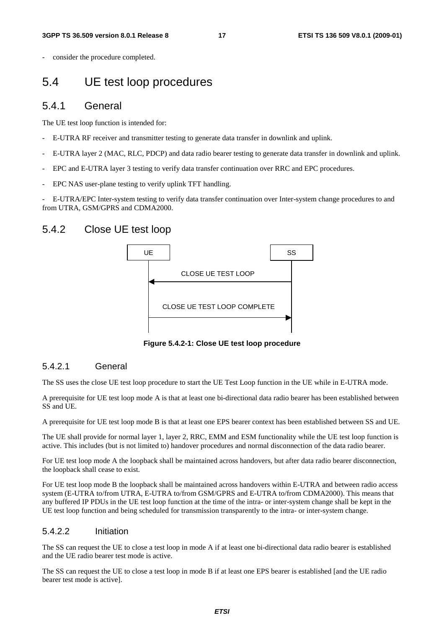consider the procedure completed.

### 5.4 UE test loop procedures

#### 5.4.1 General

The UE test loop function is intended for:

- E-UTRA RF receiver and transmitter testing to generate data transfer in downlink and uplink.
- E-UTRA layer 2 (MAC, RLC, PDCP) and data radio bearer testing to generate data transfer in downlink and uplink.
- EPC and E-UTRA layer 3 testing to verify data transfer continuation over RRC and EPC procedures.
- EPC NAS user-plane testing to verify uplink TFT handling.

- E-UTRA/EPC Inter-system testing to verify data transfer continuation over Inter-system change procedures to and from UTRA, GSM/GPRS and CDMA2000.

#### 5.4.2 Close UE test loop



**Figure 5.4.2-1: Close UE test loop procedure** 

#### 5.4.2.1 General

The SS uses the close UE test loop procedure to start the UE Test Loop function in the UE while in E-UTRA mode.

A prerequisite for UE test loop mode A is that at least one bi-directional data radio bearer has been established between SS and UE.

A prerequisite for UE test loop mode B is that at least one EPS bearer context has been established between SS and UE.

The UE shall provide for normal layer 1, layer 2, RRC, EMM and ESM functionality while the UE test loop function is active. This includes (but is not limited to) handover procedures and normal disconnection of the data radio bearer.

For UE test loop mode A the loopback shall be maintained across handovers, but after data radio bearer disconnection, the loopback shall cease to exist.

For UE test loop mode B the loopback shall be maintained across handovers within E-UTRA and between radio access system (E-UTRA to/from UTRA, E-UTRA to/from GSM/GPRS and E-UTRA to/from CDMA2000). This means that any buffered IP PDUs in the UE test loop function at the time of the intra- or inter-system change shall be kept in the UE test loop function and being scheduled for transmission transparently to the intra- or inter-system change.

#### 5.4.2.2 Initiation

The SS can request the UE to close a test loop in mode A if at least one bi-directional data radio bearer is established and the UE radio bearer test mode is active.

The SS can request the UE to close a test loop in mode B if at least one EPS bearer is established [and the UE radio bearer test mode is active].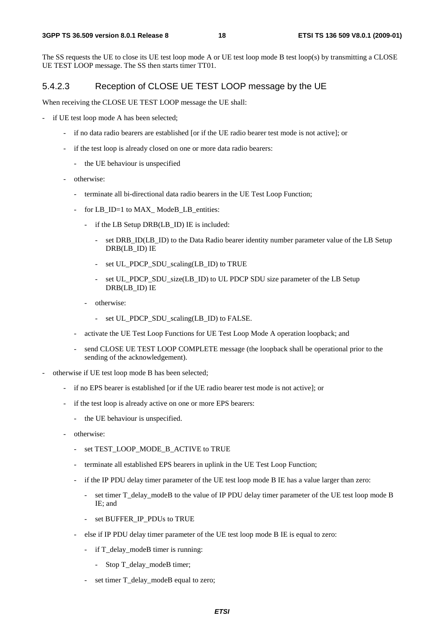The SS requests the UE to close its UE test loop mode A or UE test loop mode B test loop(s) by transmitting a CLOSE UE TEST LOOP message. The SS then starts timer TT01.

#### 5.4.2.3 Reception of CLOSE UE TEST LOOP message by the UE

When receiving the CLOSE UE TEST LOOP message the UE shall:

- if UE test loop mode A has been selected;
	- if no data radio bearers are established [or if the UE radio bearer test mode is not active]; or
	- if the test loop is already closed on one or more data radio bearers:
		- the UE behaviour is unspecified
	- otherwise:
		- terminate all bi-directional data radio bearers in the UE Test Loop Function;
		- for LB\_ID=1 to MAX\_ModeB\_LB\_entities:
			- if the LB Setup DRB(LB ID) IE is included:
				- set DRB\_ID(LB\_ID) to the Data Radio bearer identity number parameter value of the LB Setup DRB(LB\_ID) IE
				- set UL\_PDCP\_SDU\_scaling(LB\_ID) to TRUE
				- set UL\_PDCP\_SDU\_size(LB\_ID) to UL PDCP SDU size parameter of the LB Setup DRB(LB\_ID) IE
			- otherwise:
				- set UL\_PDCP\_SDU\_scaling(LB\_ID) to FALSE.
		- activate the UE Test Loop Functions for UE Test Loop Mode A operation loopback; and
		- send CLOSE UE TEST LOOP COMPLETE message (the loopback shall be operational prior to the sending of the acknowledgement).
- otherwise if UE test loop mode B has been selected;
	- if no EPS bearer is established [or if the UE radio bearer test mode is not active]; or
	- if the test loop is already active on one or more EPS bearers:
		- the UE behaviour is unspecified.
	- otherwise:
		- set TEST\_LOOP\_MODE\_B\_ACTIVE to TRUE
		- terminate all established EPS bearers in uplink in the UE Test Loop Function;
		- if the IP PDU delay timer parameter of the UE test loop mode B IE has a value larger than zero:
			- set timer T\_delay\_modeB to the value of IP PDU delay timer parameter of the UE test loop mode B IE; and
			- set BUFFER\_IP\_PDUs to TRUE
		- else if IP PDU delay timer parameter of the UE test loop mode B IE is equal to zero:
			- if T\_delay\_modeB timer is running:
				- Stop T\_delay\_modeB timer;
			- set timer T\_delay\_modeB equal to zero;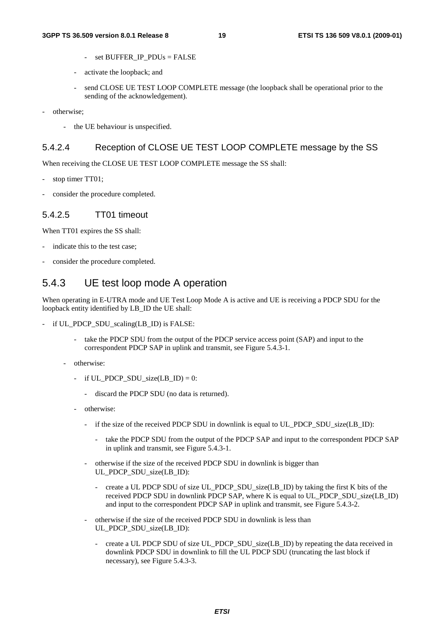- set BUFFER\_IP\_PDUs = FALSE
- activate the loopback; and
- send CLOSE UE TEST LOOP COMPLETE message (the loopback shall be operational prior to the sending of the acknowledgement).
- otherwise;
	- the UE behaviour is unspecified.

#### 5.4.2.4 Reception of CLOSE UE TEST LOOP COMPLETE message by the SS

When receiving the CLOSE UE TEST LOOP COMPLETE message the SS shall:

- stop timer TT01:
- consider the procedure completed.

#### 5.4.2.5 TT01 timeout

When TT01 expires the SS shall:

- indicate this to the test case;
- consider the procedure completed.

#### 5.4.3 UE test loop mode A operation

When operating in E-UTRA mode and UE Test Loop Mode A is active and UE is receiving a PDCP SDU for the loopback entity identified by LB\_ID the UE shall:

- if UL\_PDCP\_SDU\_scaling(LB\_ID) is FALSE:
	- take the PDCP SDU from the output of the PDCP service access point (SAP) and input to the correspondent PDCP SAP in uplink and transmit, see Figure 5.4.3-1.
	- otherwise:
		- if  $UL\_PDCP\_SDU\_size(LB\_ID) = 0$ :
			- discard the PDCP SDU (no data is returned).
		- otherwise:
			- if the size of the received PDCP SDU in downlink is equal to UL\_PDCP\_SDU\_size(LB\_ID):
				- take the PDCP SDU from the output of the PDCP SAP and input to the correspondent PDCP SAP in uplink and transmit, see Figure 5.4.3-1.
			- otherwise if the size of the received PDCP SDU in downlink is bigger than UL PDCP SDU size(LB\_ID):
				- create a UL PDCP SDU of size UL PDCP SDU size(LB ID) by taking the first K bits of the received PDCP SDU in downlink PDCP SAP, where K is equal to UL\_PDCP\_SDU\_size(LB\_ID) and input to the correspondent PDCP SAP in uplink and transmit, see Figure 5.4.3-2.
			- otherwise if the size of the received PDCP SDU in downlink is less than UL\_PDCP\_SDU\_size(LB\_ID):
				- create a UL PDCP SDU of size UL PDCP\_SDU\_size(LB\_ID) by repeating the data received in downlink PDCP SDU in downlink to fill the UL PDCP SDU (truncating the last block if necessary), see Figure 5.4.3-3.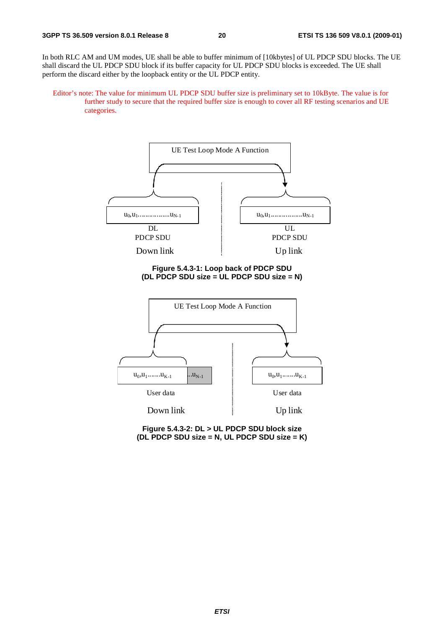In both RLC AM and UM modes, UE shall be able to buffer minimum of [10kbytes] of UL PDCP SDU blocks. The UE shall discard the UL PDCP SDU block if its buffer capacity for UL PDCP SDU blocks is exceeded. The UE shall perform the discard either by the loopback entity or the UL PDCP entity.

Editor's note: The value for minimum UL PDCP SDU buffer size is preliminary set to 10kByte. The value is for further study to secure that the required buffer size is enough to cover all RF testing scenarios and UE categories.



**Figure 5.4.3-2: DL > UL PDCP SDU block size (DL PDCP SDU size = N, UL PDCP SDU size = K)**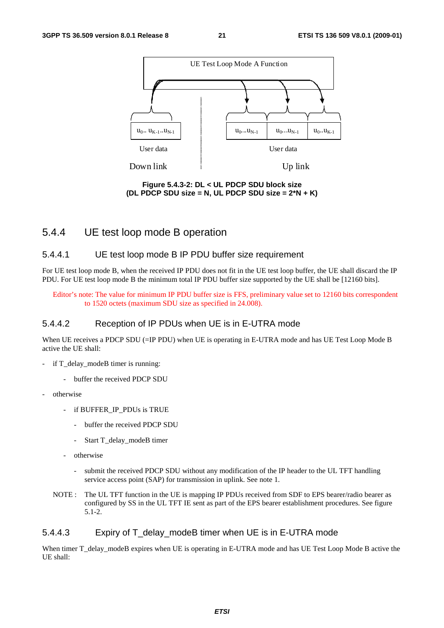

**Figure 5.4.3-2: DL < UL PDCP SDU block size (DL PDCP SDU size = N, UL PDCP SDU size = 2\*N + K)** 

#### 5.4.4 UE test loop mode B operation

#### 5.4.4.1 UE test loop mode B IP PDU buffer size requirement

For UE test loop mode B, when the received IP PDU does not fit in the UE test loop buffer, the UE shall discard the IP PDU. For UE test loop mode B the minimum total IP PDU buffer size supported by the UE shall be [12160 bits].

Editor's note: The value for minimum IP PDU buffer size is FFS, preliminary value set to 12160 bits correspondent to 1520 octets (maximum SDU size as specified in 24.008).

#### 5.4.4.2 Reception of IP PDUs when UE is in E-UTRA mode

When UE receives a PDCP SDU (=IP PDU) when UE is operating in E-UTRA mode and has UE Test Loop Mode B active the UE shall:

- if T\_delay\_modeB timer is running:
	- buffer the received PDCP SDU
- otherwise
	- if BUFFER\_IP\_PDUs is TRUE
		- buffer the received PDCP SDU
		- Start T\_delay\_modeB timer
	- otherwise
		- submit the received PDCP SDU without any modification of the IP header to the UL TFT handling service access point (SAP) for transmission in uplink. See note 1.
	- NOTE : The UL TFT function in the UE is mapping IP PDUs received from SDF to EPS bearer/radio bearer as configured by SS in the UL TFT IE sent as part of the EPS bearer establishment procedures. See figure 5.1-2.

#### 5.4.4.3 Expiry of T\_delay\_modeB timer when UE is in E-UTRA mode

When timer T\_delay\_modeB expires when UE is operating in E-UTRA mode and has UE Test Loop Mode B active the UE shall: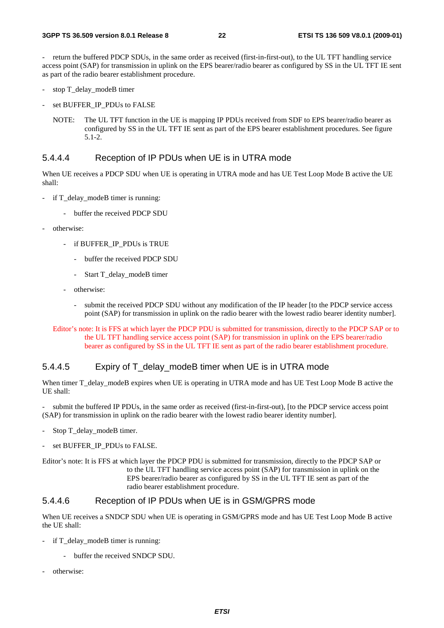- return the buffered PDCP SDUs, in the same order as received (first-in-first-out), to the UL TFT handling service access point (SAP) for transmission in uplink on the EPS bearer/radio bearer as configured by SS in the UL TFT IE sent as part of the radio bearer establishment procedure.

- stop T\_delay\_modeB timer
- set BUFFER\_IP\_PDUs to FALSE
	- NOTE: The UL TFT function in the UE is mapping IP PDUs received from SDF to EPS bearer/radio bearer as configured by SS in the UL TFT IE sent as part of the EPS bearer establishment procedures. See figure 5.1-2.

#### 5.4.4.4 Reception of IP PDUs when UE is in UTRA mode

When UE receives a PDCP SDU when UE is operating in UTRA mode and has UE Test Loop Mode B active the UE shall:

- if T\_delay\_modeB timer is running:
	- buffer the received PDCP SDU
- otherwise:
	- if BUFFER\_IP\_PDUs is TRUE
		- buffer the received PDCP SDU
		- Start T\_delay\_modeB timer
	- otherwise:
		- submit the received PDCP SDU without any modification of the IP header [to the PDCP service access point (SAP) for transmission in uplink on the radio bearer with the lowest radio bearer identity number].

Editor's note: It is FFS at which layer the PDCP PDU is submitted for transmission, directly to the PDCP SAP or to the UL TFT handling service access point (SAP) for transmission in uplink on the EPS bearer/radio bearer as configured by SS in the UL TFT IE sent as part of the radio bearer establishment procedure.

#### 5.4.4.5 Expiry of T\_delay\_modeB timer when UE is in UTRA mode

When timer T\_delay\_modeB expires when UE is operating in UTRA mode and has UE Test Loop Mode B active the UE shall:

submit the buffered IP PDUs, in the same order as received (first-in-first-out), [to the PDCP service access point (SAP) for transmission in uplink on the radio bearer with the lowest radio bearer identity number].

- Stop T\_delay\_modeB timer.
- set BUFFER\_IP\_PDUs to FALSE.
- Editor's note: It is FFS at which layer the PDCP PDU is submitted for transmission, directly to the PDCP SAP or to the UL TFT handling service access point (SAP) for transmission in uplink on the EPS bearer/radio bearer as configured by SS in the UL TFT IE sent as part of the radio bearer establishment procedure.

#### 5.4.4.6 Reception of IP PDUs when UE is in GSM/GPRS mode

When UE receives a SNDCP SDU when UE is operating in GSM/GPRS mode and has UE Test Loop Mode B active the UE shall:

- if T\_delay\_modeB timer is running:
	- buffer the received SNDCP SDU.
- otherwise: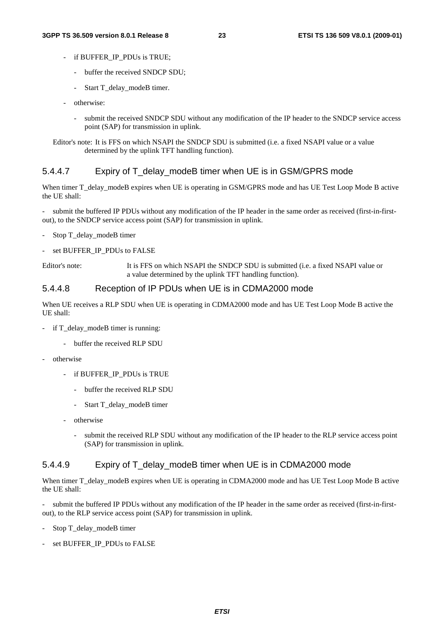- if BUFFER\_IP\_PDUs is TRUE;
	- buffer the received SNDCP SDU;
	- Start T\_delay\_modeB timer.
- otherwise:
	- submit the received SNDCP SDU without any modification of the IP header to the SNDCP service access point (SAP) for transmission in uplink.
- Editor's note: It is FFS on which NSAPI the SNDCP SDU is submitted (i.e. a fixed NSAPI value or a value determined by the uplink TFT handling function).

#### 5.4.4.7 Expiry of T\_delay\_modeB timer when UE is in GSM/GPRS mode

When timer T\_delay\_modeB expires when UE is operating in GSM/GPRS mode and has UE Test Loop Mode B active the UE shall:

- submit the buffered IP PDUs without any modification of the IP header in the same order as received (first-in-firstout), to the SNDCP service access point (SAP) for transmission in uplink.

- Stop T\_delay\_modeB timer
- set BUFFER\_IP\_PDUs to FALSE

Editor's note: It is FFS on which NSAPI the SNDCP SDU is submitted (i.e. a fixed NSAPI value or a value determined by the uplink TFT handling function).

#### 5.4.4.8 Reception of IP PDUs when UE is in CDMA2000 mode

When UE receives a RLP SDU when UE is operating in CDMA2000 mode and has UE Test Loop Mode B active the UE shall:

- if T\_delay\_modeB timer is running:
	- buffer the received RLP SDU
- otherwise
	- if BUFFER\_IP\_PDUs is TRUE
		- buffer the received RLP SDU
		- Start T\_delay\_modeB timer
	- otherwise
		- submit the received RLP SDU without any modification of the IP header to the RLP service access point (SAP) for transmission in uplink.

#### 5.4.4.9 Expiry of T\_delay\_modeB timer when UE is in CDMA2000 mode

When timer T\_delay\_modeB expires when UE is operating in CDMA2000 mode and has UE Test Loop Mode B active the UE shall:

submit the buffered IP PDUs without any modification of the IP header in the same order as received (first-in-firstout), to the RLP service access point (SAP) for transmission in uplink.

- Stop T\_delay\_modeB timer
- set BUFFER\_IP\_PDUs to FALSE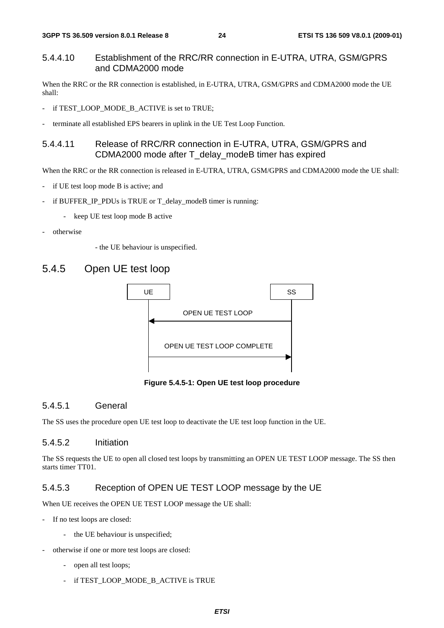#### 5.4.4.10 Establishment of the RRC/RR connection in E-UTRA, UTRA, GSM/GPRS and CDMA2000 mode

When the RRC or the RR connection is established, in E-UTRA, UTRA, GSM/GPRS and CDMA2000 mode the UE shall:

- if TEST\_LOOP\_MODE\_B\_ACTIVE is set to TRUE;
- terminate all established EPS bearers in uplink in the UE Test Loop Function.

#### 5.4.4.11 Release of RRC/RR connection in E-UTRA, UTRA, GSM/GPRS and CDMA2000 mode after T\_delay\_modeB timer has expired

When the RRC or the RR connection is released in E-UTRA, UTRA, GSM/GPRS and CDMA2000 mode the UE shall:

- if UE test loop mode B is active; and
- if BUFFER\_IP\_PDUs is TRUE or T\_delay\_modeB timer is running:
	- keep UE test loop mode B active
- otherwise

- the UE behaviour is unspecified.

#### 5.4.5 Open UE test loop



**Figure 5.4.5-1: Open UE test loop procedure** 

#### 5.4.5.1 General

The SS uses the procedure open UE test loop to deactivate the UE test loop function in the UE.

#### 5.4.5.2 Initiation

The SS requests the UE to open all closed test loops by transmitting an OPEN UE TEST LOOP message. The SS then starts timer TT01.

#### 5.4.5.3 Reception of OPEN UE TEST LOOP message by the UE

When UE receives the OPEN UE TEST LOOP message the UE shall:

- If no test loops are closed:
	- the UE behaviour is unspecified;
- otherwise if one or more test loops are closed:
	- open all test loops;
	- if TEST\_LOOP\_MODE\_B\_ACTIVE is TRUE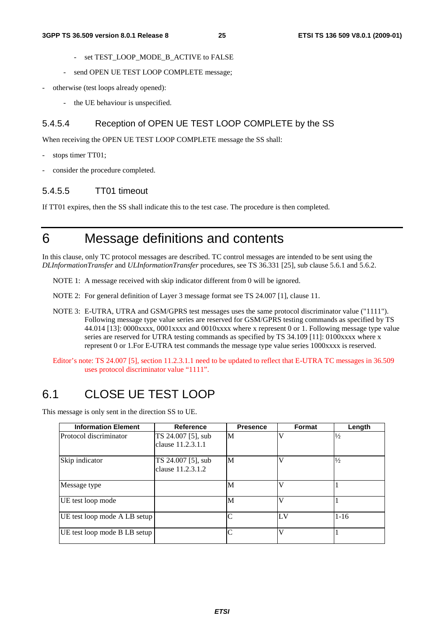- set TEST\_LOOP\_MODE\_B\_ACTIVE to FALSE
- send OPEN UE TEST LOOP COMPLETE message;
- otherwise (test loops already opened):
	- the UE behaviour is unspecified.

#### 5.4.5.4 Reception of OPEN UE TEST LOOP COMPLETE by the SS

When receiving the OPEN UE TEST LOOP COMPLETE message the SS shall:

- stops timer TT01;
- consider the procedure completed.

#### 5.4.5.5 TT01 timeout

If TT01 expires, then the SS shall indicate this to the test case. The procedure is then completed.

### 6 Message definitions and contents

In this clause, only TC protocol messages are described. TC control messages are intended to be sent using the *DLInformationTransfer* and *ULInformationTransfer* procedures, see TS 36.331 [25], sub clause 5.6.1 and 5.6.2.

NOTE 1: A message received with skip indicator different from 0 will be ignored.

NOTE 2: For general definition of Layer 3 message format see TS 24.007 [1], clause 11.

- NOTE 3: E-UTRA, UTRA and GSM/GPRS test messages uses the same protocol discriminator value ("1111"). Following message type value series are reserved for GSM/GPRS testing commands as specified by TS 44.014 [13]: 0000xxxx, 0001xxxx and 0010xxxx where x represent 0 or 1. Following message type value series are reserved for UTRA testing commands as specified by TS 34.109 [11]: 0100xxxx where x represent 0 or 1.For E-UTRA test commands the message type value series 1000xxxx is reserved.
- Editor's note: TS 24.007 [5], section 11.2.3.1.1 need to be updated to reflect that E-UTRA TC messages in 36.509 uses protocol discriminator value "1111".

### 6.1 CLOSE UE TEST LOOP

This message is only sent in the direction SS to UE.

| <b>Information Element</b>   | Reference          | <b>Presence</b> | Format | Length        |
|------------------------------|--------------------|-----------------|--------|---------------|
| Protocol discriminator       | TS 24.007 [5], sub | M               |        | $\frac{1}{2}$ |
|                              | clause 11.2.3.1.1  |                 |        |               |
| Skip indicator               | TS 24.007 [5], sub | M               |        | $\frac{1}{2}$ |
|                              | clause 11.2.3.1.2  |                 |        |               |
| Message type                 |                    | M               |        |               |
| UE test loop mode            |                    | M               |        |               |
| UE test loop mode A LB setup |                    | $\subset$       | LV     | $1 - 16$      |
| UE test loop mode B LB setup |                    | ⌒               | ٦Z     |               |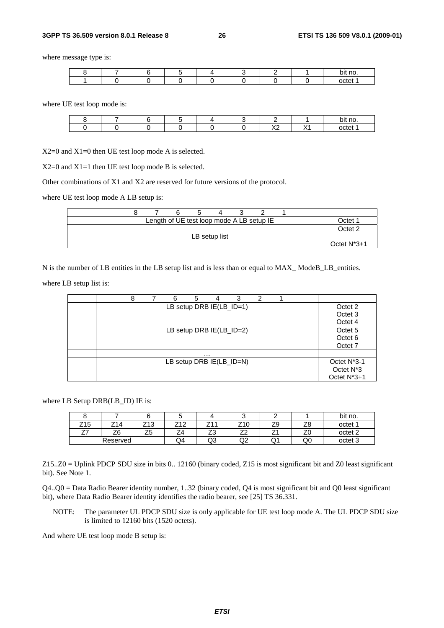#### **3GPP TS 36.509 version 8.0.1 Release 8 26 ETSI TS 136 509 V8.0.1 (2009-01)**

where message type is:

|  |  |  |  | ≅it no.<br>oı |
|--|--|--|--|---------------|
|  |  |  |  | notat.<br>ΤД. |

where UE test loop mode is:

|  |  |  |                      | bit no. |
|--|--|--|----------------------|---------|
|  |  |  | $\sqrt{2}$<br>$\sim$ | octet   |

X2=0 and X1=0 then UE test loop mode A is selected.

X2=0 and X1=1 then UE test loop mode B is selected.

Other combinations of X1 and X2 are reserved for future versions of the protocol.

where UE test loop mode A LB setup is:

|  | Length of UE test loop mode A LB setup IE |  |               |  |  | Octet <sup>1</sup> |
|--|-------------------------------------------|--|---------------|--|--|--------------------|
|  |                                           |  | LB setup list |  |  | Octet 2            |
|  |                                           |  |               |  |  | Octet $N^*3+1$     |

N is the number of LB entities in the LB setup list and is less than or equal to MAX\_ ModeB\_LB\_entities.

where LB setup list is:

| 8 | 6 | 5 | 4 | 3                          | 2 |  |                          |
|---|---|---|---|----------------------------|---|--|--------------------------|
|   |   |   |   | LB setup DRB IE(LB_ID=1)   |   |  | Octet 2                  |
|   |   |   |   |                            |   |  | Octet 3                  |
|   |   |   |   |                            |   |  | Octet 4                  |
|   |   |   |   | LB setup DRB $IE(LB_1D=2)$ |   |  | Octet <sub>5</sub>       |
|   |   |   |   |                            |   |  | Octet <sub>6</sub>       |
|   |   |   |   |                            |   |  | Octet 7                  |
|   |   |   | . |                            |   |  |                          |
|   |   |   |   | LB setup DRB IE(LB_ID=N)   |   |  | Octet N <sup>*</sup> 3-1 |
|   |   |   |   |                            |   |  | Octet N <sup>*</sup> 3   |
|   |   |   |   |                            |   |  | Octet N <sup>*</sup> 3+1 |

where LB Setup DRB(LB\_ID) IE is:

| ີ                       |                |             | ີ          |                                |                                |          |          | bit no.            |
|-------------------------|----------------|-------------|------------|--------------------------------|--------------------------------|----------|----------|--------------------|
| Z15                     | Z14            | 712<br>ں اے | 740<br>ے ا | 744<br>- 1                     | 740<br>2 I U                   | 70<br>ت  | 70<br>∠⊂ | octet 1            |
| $\rightarrow$<br>$\sim$ | Z <sub>6</sub> | --<br>ںے    | -<br>44    | $\overline{\phantom{a}}$<br>ںے | $\overline{\phantom{a}}$<br>-- | <u>_</u> | 70<br>∠⊾ | octet <sub>2</sub> |
|                         | Reserved       |             | Q4         | Q3                             | ₩                              | ا بي     | Q0       | octet 3            |

Z15..Z0 = Uplink PDCP SDU size in bits 0.. 12160 (binary coded, Z15 is most significant bit and Z0 least significant bit). See Note 1.

Q4..Q0 = Data Radio Bearer identity number, 1..32 (binary coded, Q4 is most significant bit and Q0 least significant bit), where Data Radio Bearer identity identifies the radio bearer, see [25] TS 36.331.

NOTE: The parameter UL PDCP SDU size is only applicable for UE test loop mode A. The UL PDCP SDU size is limited to 12160 bits (1520 octets).

And where UE test loop mode B setup is: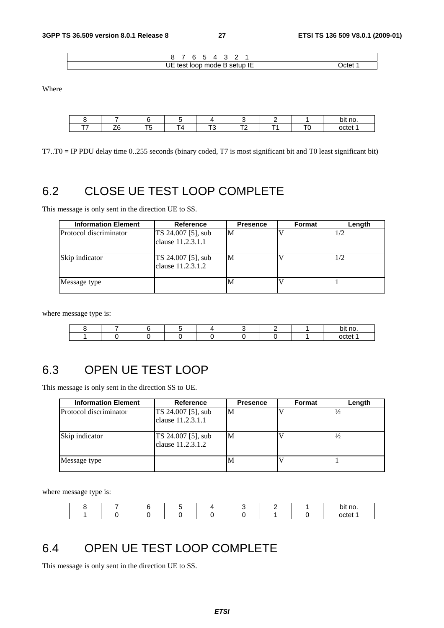| JE test<br>loop mode B setup IE | $Int^*$ |
|---------------------------------|---------|

Where

|                    |  |        |              | bit no. |
|--------------------|--|--------|--------------|---------|
| $ -$<br>- 14<br>-- |  | $\sim$ | $\mathbf{r}$ | octet   |

T7..T0 = IP PDU delay time 0..255 seconds (binary coded, T7 is most significant bit and T0 least significant bit)

### 6.2 CLOSE UE TEST LOOP COMPLETE

This message is only sent in the direction UE to SS.

| <b>Information Element</b> | <b>Reference</b>                        | <b>Presence</b> | Format | Length |
|----------------------------|-----------------------------------------|-----------------|--------|--------|
| Protocol discriminator     | TS 24.007 [5], sub<br>clause 11.2.3.1.1 | М               |        | 1/2    |
| Skip indicator             | TS 24.007 [5], sub<br>clause 11.2.3.1.2 | M               |        | 1/2    |
| Message type               |                                         | M               |        |        |

where message type is:

|  |  |  |  | bit no |
|--|--|--|--|--------|
|  |  |  |  | netet  |

### 6.3 OPEN UE TEST LOOP

This message is only sent in the direction SS to UE.

| <b>Information Element</b> | <b>Reference</b>                        | <b>Presence</b> | Format | Length        |
|----------------------------|-----------------------------------------|-----------------|--------|---------------|
| Protocol discriminator     | TS 24.007 [5], sub<br>clause 11.2.3.1.1 | М               |        | $\frac{1}{2}$ |
| Skip indicator             | TS 24.007 [5], sub<br>clause 11.2.3.1.2 | M               |        | $\frac{1}{2}$ |
| Message type               |                                         | M               |        |               |

where message type is:

|  |  |  |  | bit no. |
|--|--|--|--|---------|
|  |  |  |  | nctet   |

### 6.4 OPEN UE TEST LOOP COMPLETE

This message is only sent in the direction UE to SS.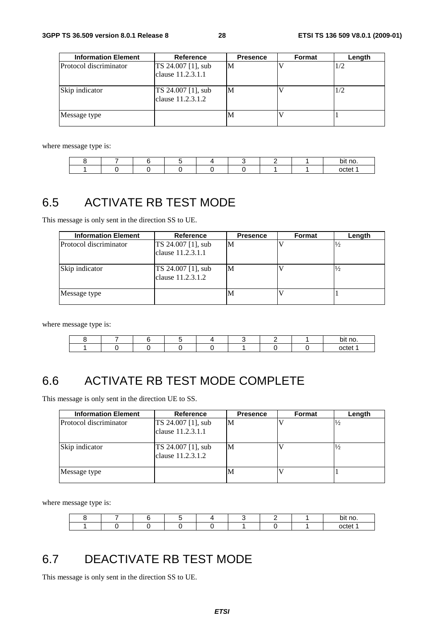| <b>Information Element</b> | Reference                               | <b>Presence</b> | Format | Length |
|----------------------------|-----------------------------------------|-----------------|--------|--------|
| Protocol discriminator     | TS 24.007 [1], sub<br>clause 11.2.3.1.1 | M               |        | 1/2    |
| Skip indicator             | TS 24.007 [1], sub<br>clause 11.2.3.1.2 | М               |        | 1/2    |
| Message type               |                                         | М               |        |        |

where message type is:

|  |  |  |  | bit no. |
|--|--|--|--|---------|
|  |  |  |  | ----    |

### 6.5 ACTIVATE RB TEST MODE

This message is only sent in the direction SS to UE.

| <b>Information Element</b> | Reference                               | <b>Presence</b> | Format | Length        |
|----------------------------|-----------------------------------------|-----------------|--------|---------------|
| Protocol discriminator     | TS 24.007 [1], sub<br>clause 11.2.3.1.1 | M               |        | $\frac{1}{2}$ |
| Skip indicator             | TS 24.007 [1], sub<br>clause 11.2.3.1.2 | M               |        | $\frac{1}{2}$ |
| Message type               |                                         | М               |        |               |

where message type is:

|  |  |  |  | bit no. |
|--|--|--|--|---------|
|  |  |  |  | octet   |

### 6.6 ACTIVATE RB TEST MODE COMPLETE

This message is only sent in the direction UE to SS.

| <b>Information Element</b> | Reference                               | <b>Presence</b> | Format | Length        |
|----------------------------|-----------------------------------------|-----------------|--------|---------------|
| Protocol discriminator     | TS 24.007 [1], sub<br>clause 11.2.3.1.1 | M               |        | $^{1/2}$      |
| Skip indicator             | TS 24.007 [1], sub<br>clause 11.2.3.1.2 | M               |        | $\frac{1}{2}$ |
| Message type               |                                         | М               |        |               |

where message type is:

|  |  |  |  | no.<br>bit |
|--|--|--|--|------------|
|  |  |  |  | nctet      |

### 6.7 DEACTIVATE RB TEST MODE

This message is only sent in the direction SS to UE.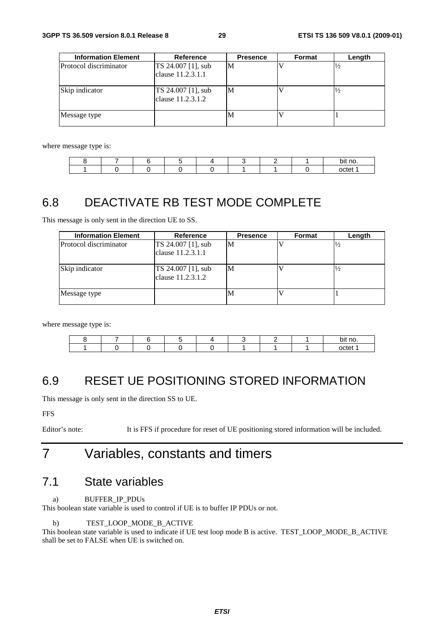| <b>Information Element</b> | Reference                               | <b>Presence</b> | <b>Format</b> | Length        |
|----------------------------|-----------------------------------------|-----------------|---------------|---------------|
| Protocol discriminator     | TS 24.007 [1], sub<br>clause 11.2.3.1.1 | M               |               |               |
| Skip indicator             | TS 24.007 [1], sub<br>clause 11.2.3.1.2 | M               |               | $\frac{1}{2}$ |
| Message type               |                                         | <b>N</b>        |               |               |

where message type is:

|  |  |  |  | bit no.    |
|--|--|--|--|------------|
|  |  |  |  | ---<br>. . |

### 6.8 DEACTIVATE RB TEST MODE COMPLETE

This message is only sent in the direction UE to SS.

| <b>Information Element</b> | <b>Reference</b>                        | <b>Presence</b> | Format | Length |
|----------------------------|-----------------------------------------|-----------------|--------|--------|
| Protocol discriminator     | TS 24.007 [1], sub<br>clause 11.2.3.1.1 | M               |        |        |
| Skip indicator             | TS 24.007 [1], sub<br>clause 11.2.3.1.2 | M               |        |        |
| Message type               |                                         | М               |        |        |

where message type is:

|  |  |  |  | bit no. |
|--|--|--|--|---------|
|  |  |  |  | octet   |

### 6.9 RESET UE POSITIONING STORED INFORMATION

This message is only sent in the direction SS to UE.

FFS

Editor's note: It is FFS if procedure for reset of UE positioning stored information will be included.

### 7 Variables, constants and timers

### 7.1 State variables

a) BUFFER IP\_PDUs

This boolean state variable is used to control if UE is to buffer IP PDUs or not.

b) TEST\_LOOP\_MODE\_B\_ACTIVE

This boolean state variable is used to indicate if UE test loop mode B is active. TEST\_LOOP\_MODE\_B\_ACTIVE shall be set to FALSE when UE is switched on.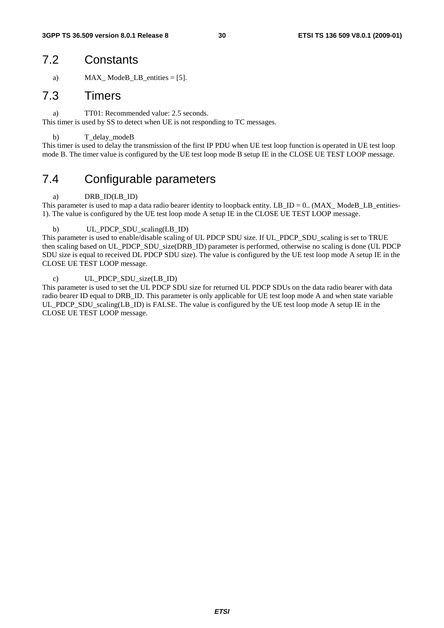### 7.2 Constants

a)  $MAX\_ModeB\_LB\_entities = [5].$ 

#### 7.3 Timers

a) TT01: Recommended value: 2.5 seconds.

This timer is used by SS to detect when UE is not responding to TC messages.

#### b) T\_delay\_modeB

This timer is used to delay the transmission of the first IP PDU when UE test loop function is operated in UE test loop mode B. The timer value is configured by the UE test loop mode B setup IE in the CLOSE UE TEST LOOP message.

### 7.4 Configurable parameters

#### a) DRB ID(LB ID)

This parameter is used to map a data radio bearer identity to loopback entity.  $LB\_ID = 0$ . (MAX\_ModeB\_LB\_entities-1). The value is configured by the UE test loop mode A setup IE in the CLOSE UE TEST LOOP message.

#### b) UL\_PDCP\_SDU\_scaling(LB\_ID)

This parameter is used to enable/disable scaling of UL PDCP SDU size. If UL\_PDCP\_SDU\_scaling is set to TRUE then scaling based on UL\_PDCP\_SDU\_size(DRB\_ID) parameter is performed, otherwise no scaling is done (UL PDCP SDU size is equal to received DL PDCP SDU size). The value is configured by the UE test loop mode A setup IE in the CLOSE UE TEST LOOP message.

#### c) UL\_PDCP\_SDU\_size(LB\_ID)

This parameter is used to set the UL PDCP SDU size for returned UL PDCP SDUs on the data radio bearer with data radio bearer ID equal to DRB\_ID. This parameter is only applicable for UE test loop mode A and when state variable UL\_PDCP\_SDU\_scaling(LB\_ID) is FALSE. The value is configured by the UE test loop mode A setup IE in the CLOSE UE TEST LOOP message.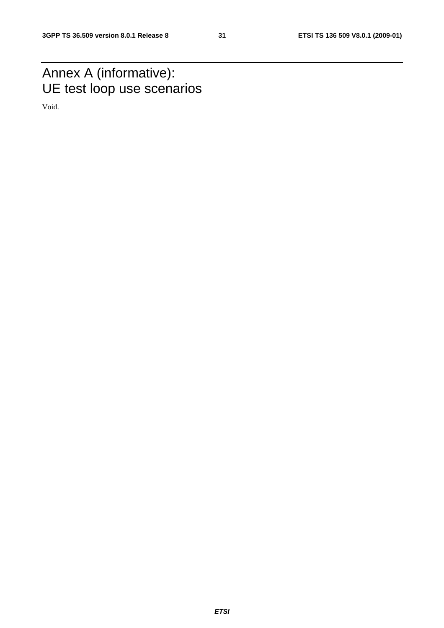### Annex A (informative): UE test loop use scenarios

Void.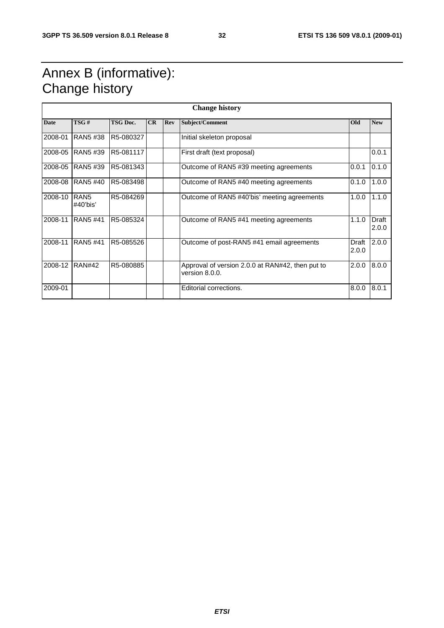### Annex B (informative): Change history

| <b>Change history</b> |                                 |                 |    |     |                                                                    |                |                       |
|-----------------------|---------------------------------|-----------------|----|-----|--------------------------------------------------------------------|----------------|-----------------------|
| <b>Date</b>           | TSG#                            | <b>TSG Doc.</b> | CR | Rev | Subject/Comment                                                    | <b>Old</b>     | <b>New</b>            |
| 2008-01               | <b>RAN5#38</b>                  | R5-080327       |    |     | Initial skeleton proposal                                          |                |                       |
| 2008-05               | <b>RAN5#39</b>                  | R5-081117       |    |     | First draft (text proposal)                                        |                | 0.0.1                 |
| 2008-05               | <b>RAN5#39</b>                  | R5-081343       |    |     | Outcome of RAN5 #39 meeting agreements                             | 0.0.1          | 0.1.0                 |
| 2008-08               | <b>RAN5#40</b>                  | R5-083498       |    |     | Outcome of RAN5 #40 meeting agreements                             | 0.1.0          | 1.0.0                 |
| 2008-10               | RAN <sub>5</sub><br>$#40'$ bis' | R5-084269       |    |     | Outcome of RAN5 #40'bis' meeting agreements                        | 1.0.0          | 1.1.0                 |
| 2008-11               | <b>RAN5#41</b>                  | R5-085324       |    |     | Outcome of RAN5 #41 meeting agreements                             | 1.1.0          | <b>Draft</b><br>2.0.0 |
| 2008-11               | <b>RAN5#41</b>                  | R5-085526       |    |     | Outcome of post-RAN5 #41 email agreements                          | Draft<br>2.0.0 | 2.0.0                 |
| 2008-12               | <b>RAN#42</b>                   | R5-080885       |    |     | Approval of version 2.0.0 at RAN#42, then put to<br>version 8.0.0. | 2.0.0          | 8.0.0                 |
| 2009-01               |                                 |                 |    |     | Editorial corrections.                                             | 8.0.0          | 8.0.1                 |